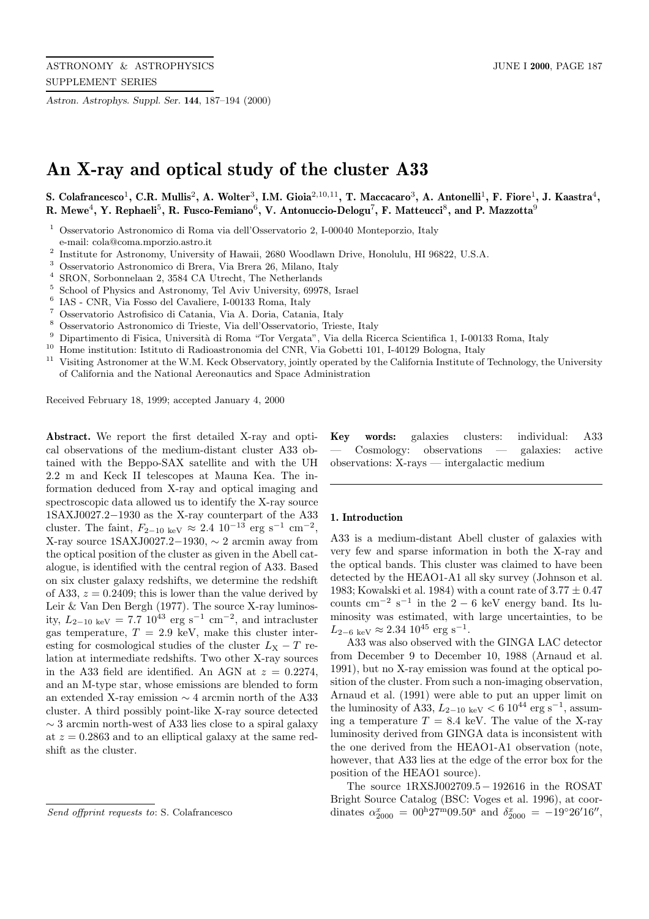*Astron. Astrophys. Suppl. Ser.* **144**, 187–194 (2000)

# **An X-ray and optical study of the cluster A33**

**S. Colafrancesco**<sup>1</sup>**, C.R. Mullis**<sup>2</sup>**, A. Wolter**<sup>3</sup>**, I.M. Gioia**<sup>2</sup>,10,<sup>11</sup>**, T. Maccacaro**<sup>3</sup>**, A. Antonelli**<sup>1</sup>**, F. Fiore**<sup>1</sup>**, J. Kaastra**<sup>4</sup>**, R. Mewe**<sup>4</sup>**, Y. Rephaeli**<sup>5</sup>**, R. Fusco-Femiano**<sup>6</sup>**, V. Antonuccio-Delogu**<sup>7</sup>**, F. Matteucci**<sup>8</sup>**, and P. Mazzotta**<sup>9</sup>

- <sup>1</sup> Osservatorio Astronomico di Roma via dell'Osservatorio 2, I-00040 Monteporzio, Italy e-mail: cola@coma.mporzio.astro.it
- <sup>2</sup> Institute for Astronomy, University of Hawaii, 2680 Woodlawn Drive, Honolulu, HI 96822, U.S.A.
- <sup>3</sup> Osservatorio Astronomico di Brera, Via Brera 26, Milano, Italy  $\frac{4 \text{ SDON}}{2 \text{ N}}$
- <sup>4</sup> SRON, Sorbonnelaan 2, 3584 CA Utrecht, The Netherlands<br><sup>5</sup> Sebesal of Physics and Astronomy Tel Asiy University 6007
- <sup>5</sup> School of Physics and Astronomy, Tel Aviv University, 69978, Israel  $^{6}$  JAS CND *Via Eccs* del Cavaliano J 00122 Borne, Italy
- <sup>6</sup> IAS CNR, Via Fosso del Cavaliere, I-00133 Roma, Italy  $^7$  Osservatorio Astrofisico di Catania. Via A. Deria, Catani
- <sup>7</sup> Osservatorio Astrofisico di Catania, Via A. Doria, Catania, Italy
- <sup>8</sup> Osservatorio Astronomico di Trieste, Via dell'Osservatorio, Trieste, Italy
- Dipartimento di Fisica, Università di Roma "Tor Vergata", Via della Ricerca Scientifica 1, I-00133 Roma, Italy
- <sup>10</sup> Home institution: Istituto di Radioastronomia del CNR, Via Gobetti 101, I-40129 Bologna, Italy
- <sup>11</sup> Visiting Astronomer at the W.M. Keck Observatory, jointly operated by the California Institute of Technology, the University of California and the National Aereonautics and Space Administration

Received February 18, 1999; accepted January 4, 2000

**Abstract.** We report the first detailed X-ray and optical observations of the medium-distant cluster A33 obtained with the Beppo-SAX satellite and with the UH 2.2 m and Keck II telescopes at Mauna Kea. The information deduced from X-ray and optical imaging and spectroscopic data allowed us to identify the X-ray source 1SAXJ0027.2−1930 as the X-ray counterpart of the A33 cluster. The faint,  $F_{2-10 \text{ keV}} \approx 2.4 \text{ 10}^{-13} \text{ erg s}^{-1} \text{ cm}^{-2}$ , X-ray source 1SAXJ0027.2−1930,  $\sim$  2 arcmin away from the optical position of the cluster as given in the Abell catalogue, is identified with the central region of A33. Based on six cluster galaxy redshifts, we determine the redshift of A33,  $z = 0.2409$ ; this is lower than the value derived by Leir & Van Den Bergh (1977). The source X-ray luminosity,  $L_{2-10 \text{ keV}} = 7.7 \text{ 10}^{\text{43}} \text{ erg s}^{-1} \text{ cm}^{-2}$ , and intracluster gas temperature,  $T = 2.9 \text{ keV}$ , make this cluster interesting for cosmological studies of the cluster  $L_X - T$  relation at intermediate redshifts. Two other X-ray sources in the A33 field are identified. An AGN at  $z = 0.2274$ , and an M-type star, whose emissions are blended to form an extended X-ray emission ∼ 4 arcmin north of the A33 cluster. A third possibly point-like X-ray source detected  $\sim$  3 arcmin north-west of A33 lies close to a spiral galaxy at  $z = 0.2863$  and to an elliptical galaxy at the same redshift as the cluster.

**Key words:** galaxies clusters: individual: A33 — Cosmology: observations — galaxies: active observations: X-rays — intergalactic medium

#### **1. Introduction**

A33 is a medium-distant Abell cluster of galaxies with very few and sparse information in both the X-ray and the optical bands. This cluster was claimed to have been detected by the HEAO1-A1 all sky survey (Johnson et al. 1983; Kowalski et al. 1984) with a count rate of  $3.77 \pm 0.47$ counts cm<sup>-2</sup> s<sup>-1</sup> in the 2 − 6 keV energy band. Its luminosity was estimated, with large uncertainties, to be  $L_{2-6 \text{ keV}} \approx 2.34 \; 10^{45} \; \text{erg s}^{-1}.$ 

A33 was also observed with the GINGA LAC detector from December 9 to December 10, 1988 (Arnaud et al. 1991), but no X-ray emission was found at the optical position of the cluster. From such a non-imaging observation, Arnaud et al. (1991) were able to put an upper limit on the luminosity of A33,  $L_{2-10 \text{ keV}} < 6 \text{ 10}^{44} \text{ erg s}^{-1}$ , assuming a temperature  $T = 8.4$  keV. The value of the X-ray luminosity derived from GINGA data is inconsistent with the one derived from the HEAO1-A1 observation (note, however, that A33 lies at the edge of the error box for the position of the HEAO1 source).

The source 1RXSJ002709.5− 192616 in the ROSAT Bright Source Catalog (BSC: Voges et al. 1996), at coordinates  $\alpha_{2000}^x = 00^{\text{h}} 27^{\text{m}} 09.50^{\text{s}}$  and  $\delta_{2000}^x = -19^{\circ} 26' 16''$ ,

Send offprint requests to: S. Colafrancesco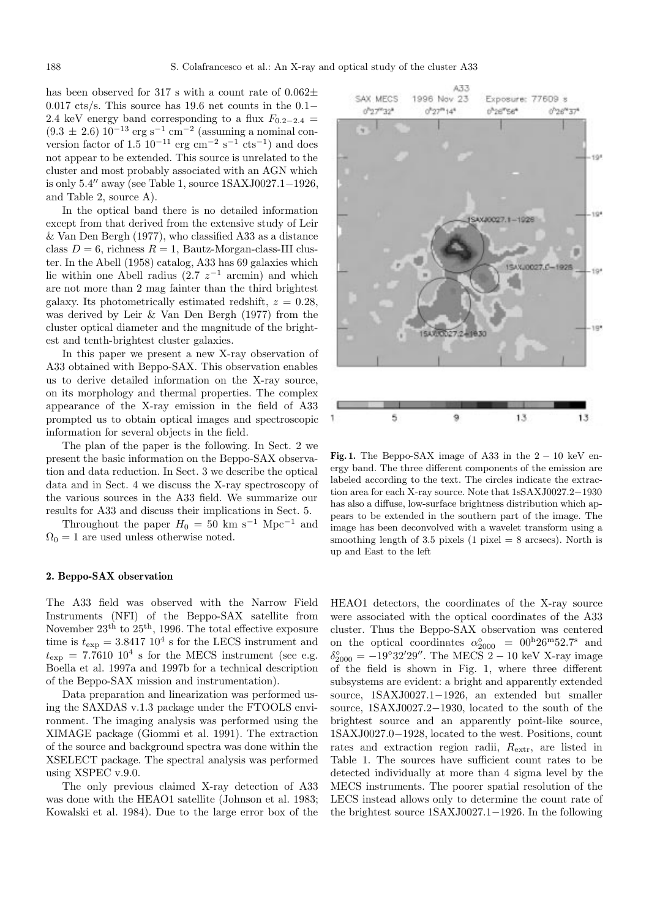has been observed for 317 s with a count rate of  $0.062\pm$ 0.017 cts/s. This source has 19.6 net counts in the 0.1− 2.4 keV energy band corresponding to a flux  $F_{0.2-2.4}$  =  $(9.3 \pm 2.6) 10^{-13} \text{ erg s}^{-1} \text{ cm}^{-2}$  (assuming a nominal conversion factor of  $1.5 \times 10^{-11}$  erg cm<sup>-2</sup> s<sup>-1</sup> cts<sup>-1</sup>) and does not appear to be extended. This source is unrelated to the cluster and most probably associated with an AGN which is only  $5.4''$  away (see Table 1, source  $1$ SAXJ0027.1−1926, and Table 2, source A).

In the optical band there is no detailed information except from that derived from the extensive study of Leir & Van Den Bergh (1977), who classified A33 as a distance class  $D = 6$ , richness  $R = 1$ , Bautz-Morgan-class-III cluster. In the Abell (1958) catalog, A33 has 69 galaxies which lie within one Abell radius (2.7  $z^{-1}$  arcmin) and which are not more than 2 mag fainter than the third brightest galaxy. Its photometrically estimated redshift,  $z = 0.28$ , was derived by Leir & Van Den Bergh (1977) from the cluster optical diameter and the magnitude of the brightest and tenth-brightest cluster galaxies.

In this paper we present a new X-ray observation of A33 obtained with Beppo-SAX. This observation enables us to derive detailed information on the X-ray source, on its morphology and thermal properties. The complex appearance of the X-ray emission in the field of A33 prompted us to obtain optical images and spectroscopic information for several objects in the field.

The plan of the paper is the following. In Sect. 2 we present the basic information on the Beppo-SAX observation and data reduction. In Sect. 3 we describe the optical data and in Sect. 4 we discuss the X-ray spectroscopy of the various sources in the A33 field. We summarize our results for A33 and discuss their implications in Sect. 5.

Throughout the paper  $H_0 = 50$  km s<sup>-1</sup> Mpc<sup>-1</sup> and  $\Omega_0 = 1$  are used unless otherwise noted.

#### **2. Beppo-SAX observation**

The A33 field was observed with the Narrow Field Instruments (NFI) of the Beppo-SAX satellite from November  $23<sup>th</sup>$  to  $25<sup>th</sup>$ , 1996. The total effective exposure time is  $t_{\text{exp}} = 3.8417 \; 10^4 \; \text{s}$  for the LECS instrument and  $t_{\rm exp}$  = 7.7610 10<sup>4</sup> s for the MECS instrument (see e.g. Boella et al. 1997a and 1997b for a technical description of the Beppo-SAX mission and instrumentation).

Data preparation and linearization was performed using the SAXDAS v.1.3 package under the FTOOLS environment. The imaging analysis was performed using the XIMAGE package (Giommi et al. 1991). The extraction of the source and background spectra was done within the XSELECT package. The spectral analysis was performed using XSPEC v.9.0.

The only previous claimed X-ray detection of A33 was done with the HEAO1 satellite (Johnson et al. 1983; Kowalski et al. 1984). Due to the large error box of the



**Fig. 1.** The Beppo-SAX image of A33 in the  $2 - 10$  keV energy band. The three different components of the emission are labeled according to the text. The circles indicate the extraction area for each X-ray source. Note that 1sSAXJ0027.2−1930 has also a diffuse, low-surface brightness distribution which appears to be extended in the southern part of the image. The image has been deconvolved with a wavelet transform using a smoothing length of 3.5 pixels (1 pixel  $= 8$  arcsecs). North is up and East to the left

HEAO1 detectors, the coordinates of the X-ray source were associated with the optical coordinates of the A33 cluster. Thus the Beppo-SAX observation was centered on the optical coordinates  $\alpha_{2000}^{\circ} = 00^{h} 26^{m} 52.7^{s}$  and  $\delta_{2000}^{\circ} = -19^{\circ}32'29''$ . The MECS 2 – 10 keV X-ray image of the field is shown in Fig. 1, where three different subsystems are evident: a bright and apparently extended source, 1SAXJ0027.1−1926, an extended but smaller source, 1SAXJ0027.2−1930, located to the south of the brightest source and an apparently point-like source, 1SAXJ0027.0−1928, located to the west. Positions, count rates and extraction region radii,  $R_{\text{extr}}$ , are listed in Table 1. The sources have sufficient count rates to be detected individually at more than 4 sigma level by the MECS instruments. The poorer spatial resolution of the LECS instead allows only to determine the count rate of the brightest source 1SAXJ0027.1−1926. In the following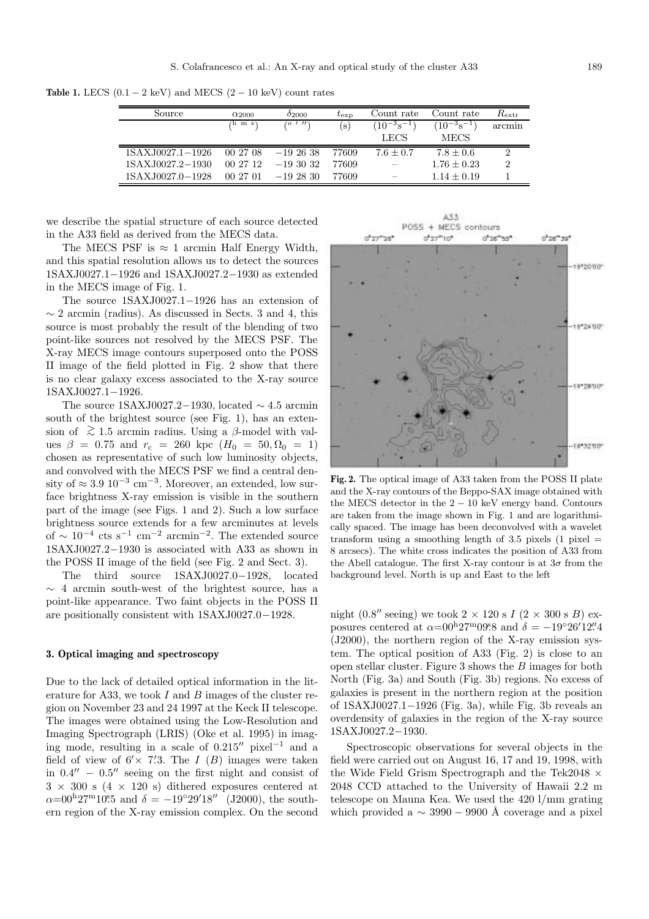**Table 1.** LECS  $(0.1 - 2 \text{ keV})$  and MECS  $(2 - 10 \text{ keV})$  count rates

| Source           | $\alpha_{2000}$ | 02000     | $t_{\rm exp}$ | Count rate        | Count rate              | $R_{\rm extr}$ |
|------------------|-----------------|-----------|---------------|-------------------|-------------------------|----------------|
|                  | $(h \; m \; s)$ | (0, 1, 1) | $\mathbf{s})$ | $(10^{-3}s^{-1})$ | $(10^{-3} \rm{s}^{-1})$ | arcmin         |
|                  |                 |           |               | LECS              | <b>MECS</b>             |                |
| 1SAXJ0027.1-1926 | 00 27 08        | $-192638$ | 77609         | $7.6 \pm 0.7$     | $7.8 + 0.6$             | ച              |
| 1SAXJ0027.2-1930 | 00 27 12        | $-193032$ | 77609         |                   | $1.76 \pm 0.23$         | $\mathcal{D}$  |
| 1SAXJ0027.0-1928 | 00 27 01        | $-192830$ | 77609         |                   | $1.14 \pm 0.19$         |                |

we describe the spatial structure of each source detected in the A33 field as derived from the MECS data.

The MECS PSF is  $\approx 1$  arcmin Half Energy Width. and this spatial resolution allows us to detect the sources 1SAXJ0027.1−1926 and 1SAXJ0027.2−1930 as extended in the MECS image of Fig. 1.

The source 1SAXJ0027.1−1926 has an extension of  $\sim$  2 arcmin (radius). As discussed in Sects. 3 and 4, this source is most probably the result of the blending of two point-like sources not resolved by the MECS PSF. The X-ray MECS image contours superposed onto the POSS II image of the field plotted in Fig. 2 show that there is no clear galaxy excess associated to the X-ray source 1SAXJ0027.1−1926.

The source 1SAXJ0027.2−1930, located  $\sim$  4.5 arcmin south of the brightest source (see Fig. 1), has an extension of  $\gtrsim 1.5$  arcmin radius. Using a  $\beta$ -model with values  $\beta = 0.75$  and  $r_c = 260$  kpc  $(H_0 = 50, \Omega_0 = 1)$ chosen as representative of such low luminosity objects, and convolved with the MECS PSF we find a central density of  $\approx 3.9 \, 10^{-3} \, \text{cm}^{-3}$ . Moreover, an extended, low surface brightness X-ray emission is visible in the southern part of the image (see Figs. 1 and 2). Such a low surface brightness source extends for a few arcminutes at levels of  $\sim 10^{-4}$  cts s<sup>-1</sup> cm<sup>-2</sup> arcmin<sup>-2</sup>. The extended source 1SAXJ0027.2−1930 is associated with A33 as shown in the POSS II image of the field (see Fig. 2 and Sect. 3).

The third source 1SAXJ0027.0−1928, located ∼ 4 arcmin south-west of the brightest source, has a point-like appearance. Two faint objects in the POSS II are positionally consistent with 1SAXJ0027.0−1928.

#### **3. Optical imaging and spectroscopy**

Due to the lack of detailed optical information in the literature for A33, we took  $I$  and  $B$  images of the cluster region on November 23 and 24 1997 at the Keck II telescope. The images were obtained using the Low-Resolution and Imaging Spectrograph (LRIS) (Oke et al. 1995) in imaging mode, resulting in a scale of  $0.215''$  pixel<sup>-1</sup> and a field of view of  $6' \times 7'$ . The I (B) images were taken in  $0.4'' - 0.5''$  seeing on the first night and consist of  $3 \times 300$  s  $(4 \times 120$  s) dithered exposures centered at  $\alpha = 00^{\mathrm{h}} 27^{\mathrm{m}} 10^{\mathrm{s}} 5$  and  $\delta = -19^{\circ} 29' 18''$  (J2000), the southern region of the X-ray emission complex. On the second

A33 POSS + MECS contours  $0''27'''10''$ 0'26"55  $0^{\circ}26^{\circ\circ}39^{\circ}$  $0''27''26$ 19120100 18124307 19\*28100  $-18*3200$ 

**Fig. 2.** The optical image of A33 taken from the POSS II plate and the X-ray contours of the Beppo-SAX image obtained with the MECS detector in the  $2 - 10$  keV energy band. Contours are taken from the image shown in Fig. 1 and are logarithmically spaced. The image has been deconvolved with a wavelet transform using a smoothing length of 3.5 pixels  $(1 \text{ pixel} =$ 8 arcsecs). The white cross indicates the position of A33 from the Abell catalogue. The first X-ray contour is at  $3\sigma$  from the background level. North is up and East to the left

night (0.8" seeing) we took  $2 \times 120$  s  $I$  ( $2 \times 300$  s  $B$ ) exposures centered at  $\alpha = 00^{\mathrm{h}} 27^{\mathrm{m}} 09.8$  and  $\delta = -19^{\circ} 26' 12'' 4$ (J2000), the northern region of the X-ray emission system. The optical position of A33 (Fig. 2) is close to an open stellar cluster. Figure 3 shows the B images for both North (Fig. 3a) and South (Fig. 3b) regions. No excess of galaxies is present in the northern region at the position of 1SAXJ0027.1−1926 (Fig. 3a), while Fig. 3b reveals an overdensity of galaxies in the region of the X-ray source 1SAXJ0027.2−1930.

Spectroscopic observations for several objects in the field were carried out on August 16, 17 and 19, 1998, with the Wide Field Grism Spectrograph and the Tek2048  $\times$ 2048 CCD attached to the University of Hawaii 2.2 m telescope on Mauna Kea. We used the 420 l/mm grating which provided a  $\sim$  3990 − 9900 Å coverage and a pixel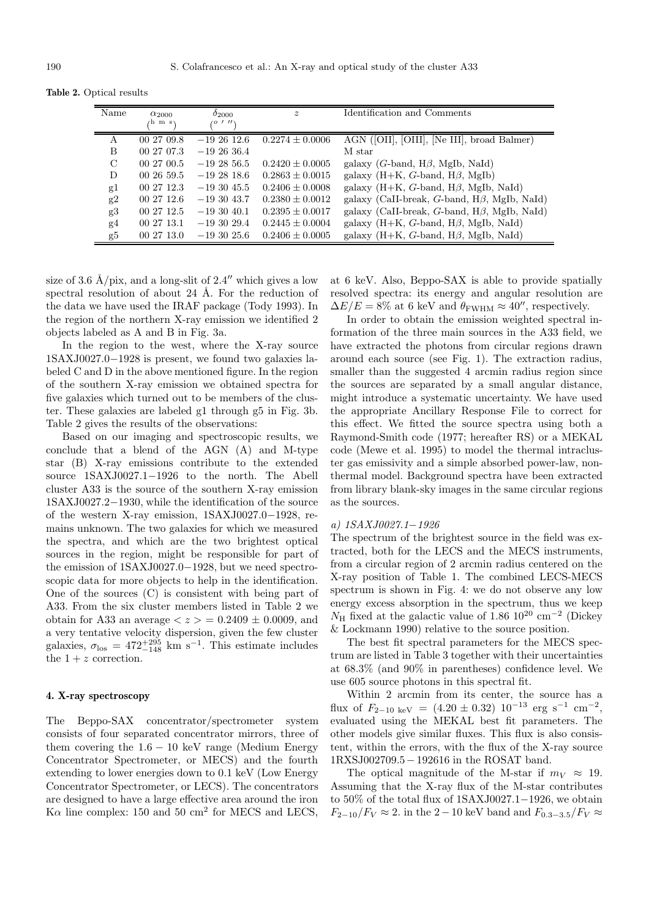**Table 2.** Optical results

| Name | $\alpha_{2000}$ | $^{02000}$      | $\boldsymbol{z}$    | Identification and Comments                           |
|------|-----------------|-----------------|---------------------|-------------------------------------------------------|
|      | ⁄h m s\         | 1/1<br>$\sigma$ |                     |                                                       |
| A    | 00 27 09.8      | $-1926126$      | $0.2274 \pm 0.0006$ | AGN ([OII], [OIII], [Ne III], broad Balmer)           |
| B    | 00 27 07.3      | $-192636.4$     |                     | M star                                                |
| C    | 00 27 00.5      | $-192856.5$     | $0.2420 \pm 0.0005$ | galaxy ( <i>G</i> -band, $H\beta$ , MgIb, NaId)       |
| D    | 002659.5        | $-192818.6$     | $0.2863 \pm 0.0015$ | galaxy $(H+K, G$ -band, $H\beta$ , MgIb)              |
| g1   | 00 27 12.3      | $-193045.5$     | $0.2406 \pm 0.0008$ | galaxy $(H+K, G$ -band, $H\beta$ , MgIb, NaId)        |
| g2   | 00 27 12.6      | $-193043.7$     | $0.2380 \pm 0.0012$ | galaxy (CaII-break, $G$ -band, $H\beta$ , MgIb, NaId) |
| g3   | 00 27 12.5      | $-193040.1$     | $0.2395 \pm 0.0017$ | galaxy (CaII-break, G-band, $H\beta$ , MgIb, NaId)    |
| g4   | 00 27 13.1      | $-193029.4$     | $0.2445 \pm 0.0004$ | galaxy $(H+K, G$ -band, $H\beta$ , MgIb, NaId)        |
| g5   | 00 27 13.0      | $-193025.6$     | $0.2406 \pm 0.0005$ | galaxy $(H+K, G$ -band, $H\beta$ , MgIb, NaId)        |

size of 3.6 Å/pix, and a long-slit of 2.4" which gives a low spectral resolution of about 24  $\AA$ . For the reduction of the data we have used the IRAF package (Tody 1993). In the region of the northern X-ray emission we identified 2 objects labeled as A and B in Fig. 3a.

In the region to the west, where the X-ray source 1SAXJ0027.0−1928 is present, we found two galaxies labeled C and D in the above mentioned figure. In the region of the southern X-ray emission we obtained spectra for five galaxies which turned out to be members of the cluster. These galaxies are labeled g1 through g5 in Fig. 3b. Table 2 gives the results of the observations:

Based on our imaging and spectroscopic results, we conclude that a blend of the AGN (A) and M-type star (B) X-ray emissions contribute to the extended source 1SAXJ0027.1−1926 to the north. The Abell cluster A33 is the source of the southern X-ray emission 1SAXJ0027.2−1930, while the identification of the source of the western X-ray emission, 1SAXJ0027.0−1928, remains unknown. The two galaxies for which we measured the spectra, and which are the two brightest optical sources in the region, might be responsible for part of the emission of 1SAXJ0027.0−1928, but we need spectroscopic data for more objects to help in the identification. One of the sources (C) is consistent with being part of A33. From the six cluster members listed in Table 2 we obtain for A33 an average  $\langle z \rangle = 0.2409 \pm 0.0009$ , and a very tentative velocity dispersion, given the few cluster galaxies,  $\sigma_{\text{los}} = 472^{+295}_{-148}$  km s<sup>-1</sup>. This estimate includes the  $1 + z$  correction.

## **4. X-ray spectroscopy**

The Beppo-SAX concentrator/spectrometer system consists of four separated concentrator mirrors, three of them covering the  $1.6 - 10 \text{ keV}$  range (Medium Energy Concentrator Spectrometer, or MECS) and the fourth extending to lower energies down to 0.1 keV (Low Energy Concentrator Spectrometer, or LECS). The concentrators are designed to have a large effective area around the iron K $\alpha$  line complex: 150 and 50 cm<sup>2</sup> for MECS and LECS,

at 6 keV. Also, Beppo-SAX is able to provide spatially resolved spectra: its energy and angular resolution are  $\Delta E/E = 8\%$  at 6 keV and  $\theta_{\rm FWHM} \approx 40''$ , respectively.

In order to obtain the emission weighted spectral information of the three main sources in the A33 field, we have extracted the photons from circular regions drawn around each source (see Fig. 1). The extraction radius, smaller than the suggested 4 arcmin radius region since the sources are separated by a small angular distance, might introduce a systematic uncertainty. We have used the appropriate Ancillary Response File to correct for this effect. We fitted the source spectra using both a Raymond-Smith code (1977; hereafter RS) or a MEKAL code (Mewe et al. 1995) to model the thermal intracluster gas emissivity and a simple absorbed power-law, nonthermal model. Background spectra have been extracted from library blank-sky images in the same circular regions as the sources.

## a) 1SAXJ0027.1−1926

The spectrum of the brightest source in the field was extracted, both for the LECS and the MECS instruments, from a circular region of 2 arcmin radius centered on the X-ray position of Table 1. The combined LECS-MECS spectrum is shown in Fig. 4: we do not observe any low energy excess absorption in the spectrum, thus we keep  $N_{\rm H}$  fixed at the galactic value of 1.86 10<sup>20</sup> cm<sup>-2</sup> (Dickey & Lockmann 1990) relative to the source position.

The best fit spectral parameters for the MECS spectrum are listed in Table 3 together with their uncertainties at 68.3% (and 90% in parentheses) confidence level. We use 605 source photons in this spectral fit.

Within 2 arcmin from its center, the source has a flux of  $F_{2-10 \text{ keV}} = (4.20 \pm 0.32) 10^{-13} \text{ erg s}^{-1} \text{ cm}^{-2}$ , evaluated using the MEKAL best fit parameters. The other models give similar fluxes. This flux is also consistent, within the errors, with the flux of the X-ray source 1RXSJ002709.5− 192616 in the ROSAT band.

The optical magnitude of the M-star if  $m_V \approx 19$ . Assuming that the X-ray flux of the M-star contributes to 50% of the total flux of 1SAXJ0027.1−1926, we obtain  $F_{2-10}/F_V \approx 2$ . in the 2 – 10 keV band and  $F_{0.3-3.5}/F_V \approx$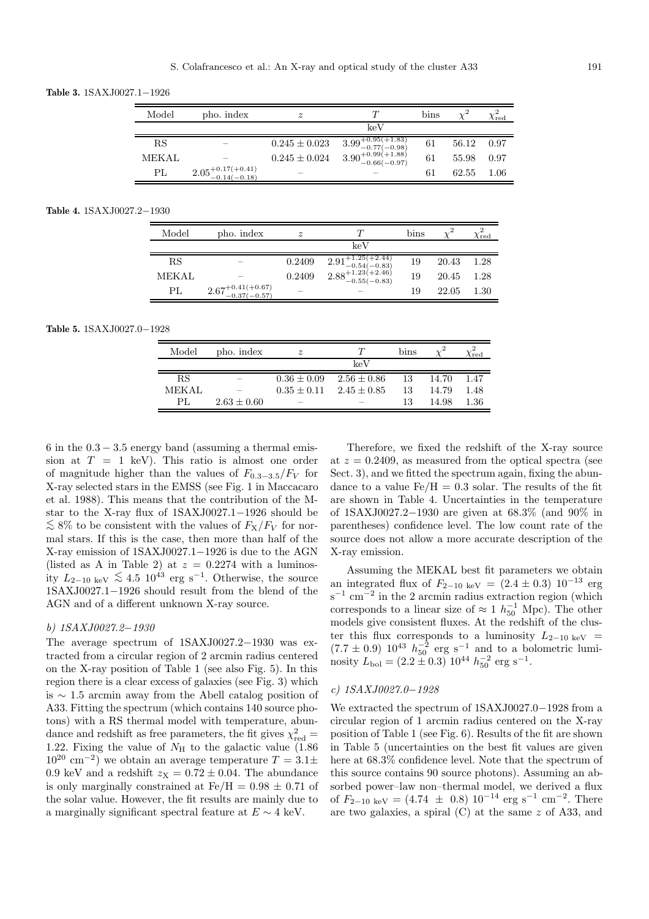**Table 3.** 1SAXJ0027.1−1926

| Model        | pho. index                           | $\boldsymbol{z}$  |                                      | $_{\rm bins}$ |       | $\chi_{\rm red}$ |
|--------------|--------------------------------------|-------------------|--------------------------------------|---------------|-------|------------------|
|              |                                      |                   | keV                                  |               |       |                  |
| RS           |                                      | $0.245 \pm 0.023$ | $3.99^{+0.95(+1.83)}_{-0.77(-0.98)}$ | 61            | 56.12 | 0.97             |
| <b>MEKAL</b> |                                      | $0.245 \pm 0.024$ | $3.90^{+0.99(+1.88)}_{-0.66(-0.97)}$ | 61            | 55.98 | 0.97             |
| PL           | $2.05^{+0.17(+0.41)}_{-0.14(-0.18)}$ |                   |                                      | 61            | 62.55 | 1.06             |

#### **Table 4.** 1SAXJ0027.2−1930

| Model  | pho. index                           | $\tilde{z}$ |                                                                                     | $_{\rm bins}$ |       | $\chi^{\mathtt{r}}_{\mathrm{red}}$ |
|--------|--------------------------------------|-------------|-------------------------------------------------------------------------------------|---------------|-------|------------------------------------|
|        |                                      |             | keV                                                                                 |               |       |                                    |
| RS     |                                      | 0.2409      | $\substack{2.91^{+1.25(+2.44)}_{-0.54(-0.83)}\\2.88^{+1.23(+2.46)}_{-0.55(-0.83)}}$ | 19            | 20.43 | 1.28                               |
| MEK AL |                                      | 0.2409      |                                                                                     | 19            | 20.45 | 1.28                               |
| PL     | $2.67^{+0.41(+0.67)}_{-0.37(-0.57)}$ |             |                                                                                     | 19            | 22.05 | 1.30                               |

#### **Table 5.** 1SAXJ0027.0−1928

| Model     | pho. index      | $\boldsymbol{z}$ |                 | bins |       | red <sup>-</sup> |
|-----------|-----------------|------------------|-----------------|------|-------|------------------|
|           |                 |                  | keV             |      |       |                  |
| <b>RS</b> |                 | $0.36 \pm 0.09$  | $2.56 \pm 0.86$ | 13   | 14.70 | 1.47             |
| MEK AL    |                 | $0.35 + 0.11$    | $2.45 \pm 0.85$ | 13   | 14.79 | 1.48             |
| PL.       | $2.63 \pm 0.60$ | _                |                 | 13   | 14.98 | 1.36             |

6 in the  $0.3 - 3.5$  energy band (assuming a thermal emission at  $T = 1$  keV). This ratio is almost one order of magnitude higher than the values of  $F_{0.3-3.5}/F_V$  for X-ray selected stars in the EMSS (see Fig. 1 in Maccacaro et al. 1988). This means that the contribution of the Mstar to the X-ray flux of 1SAXJ0027.1−1926 should be  $\lesssim$  8% to be consistent with the values of  $F_X/F_V$  for normal stars. If this is the case, then more than half of the X-ray emission of 1SAXJ0027.1−1926 is due to the AGN (listed as A in Table 2) at  $z = 0.2274$  with a luminosity  $L_{2-10 \text{ keV}} \lesssim 4.5 \, 10^{43} \text{ erg s}^{-1}$ . Otherwise, the source 1SAXJ0027.1−1926 should result from the blend of the AGN and of a different unknown X-ray source.

# b) 1SAXJ0027.2−1930

The average spectrum of 1SAXJ0027.2−1930 was extracted from a circular region of 2 arcmin radius centered on the X-ray position of Table 1 (see also Fig. 5). In this region there is a clear excess of galaxies (see Fig. 3) which is ∼ 1.5 arcmin away from the Abell catalog position of A33. Fitting the spectrum (which contains 140 source photons) with a RS thermal model with temperature, abundance and redshift as free parameters, the fit gives  $\chi^2_\mathrm{red} =$ 1.22. Fixing the value of  $N_{\rm H}$  to the galactic value (1.86)  $10^{20}$  cm<sup>-2</sup>) we obtain an average temperature  $T = 3.1 \pm$ 0.9 keV and a redshift  $z_{\text{X}} = 0.72 \pm 0.04$ . The abundance is only marginally constrained at  $Fe/H = 0.98 \pm 0.71$  of the solar value. However, the fit results are mainly due to a marginally significant spectral feature at  $E \sim 4$  keV.

Therefore, we fixed the redshift of the X-ray source at  $z = 0.2409$ , as measured from the optical spectra (see Sect. 3), and we fitted the spectrum again, fixing the abundance to a value  $Fe/H = 0.3$  solar. The results of the fit are shown in Table 4. Uncertainties in the temperature of 1SAXJ0027.2−1930 are given at 68.3% (and 90% in parentheses) confidence level. The low count rate of the source does not allow a more accurate description of the X-ray emission.

Assuming the MEKAL best fit parameters we obtain an integrated flux of  $F_{2-10 \text{ keV}} = (2.4 \pm 0.3) 10^{-13} \text{ erg}$  $s^{-1}$  cm<sup>-2</sup> in the 2 arcmin radius extraction region (which corresponds to a linear size of  $\approx 1 h_{50}^{-1}$  Mpc). The other models give consistent fluxes. At the redshift of the cluster this flux corresponds to a luminosity  $L_{2-10 \text{ keV}}$  =  $(7.7 \pm 0.9)$   $10^{43}$   $h_{50}^{-2}$  erg s<sup>-1</sup> and to a bolometric luminosity  $L_{\text{bol}} = (2.2 \pm 0.3) 10^{44} h_{50}^{-2} \text{ erg s}^{-1}.$ 

### c) 1SAXJ0027.0−1928

We extracted the spectrum of 1SAXJ0027.0−1928 from a circular region of 1 arcmin radius centered on the X-ray position of Table 1 (see Fig. 6). Results of the fit are shown in Table 5 (uncertainties on the best fit values are given here at  $68.3\%$  confidence level. Note that the spectrum of this source contains 90 source photons). Assuming an absorbed power–law non–thermal model, we derived a flux of  $F_{2-10 \text{ keV}} = (4.74 \pm 0.8) 10^{-14} \text{ erg s}^{-1} \text{ cm}^{-2}$ . There are two galaxies, a spiral (C) at the same z of A33, and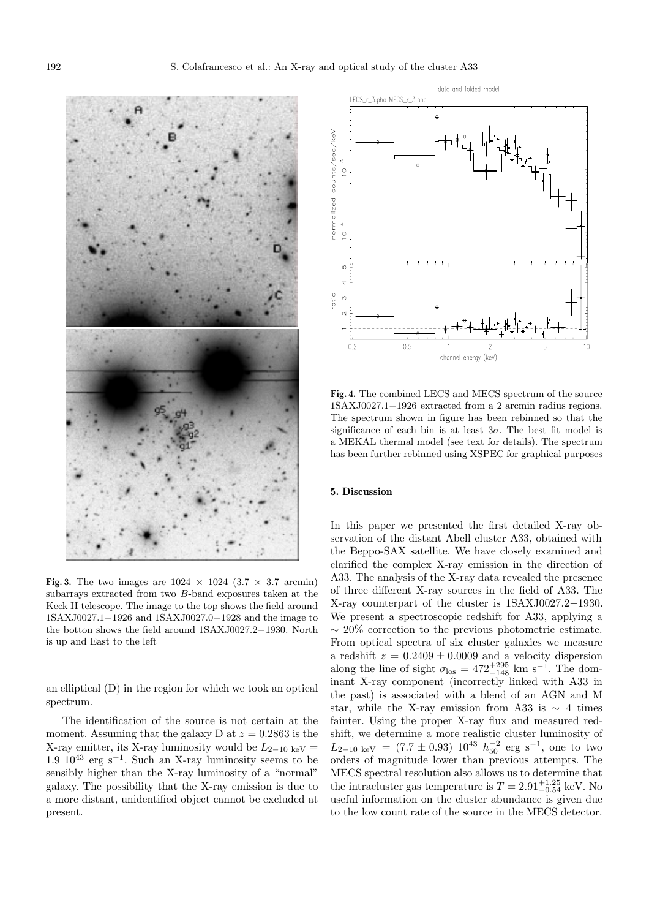

**Fig. 3.** The two images are  $1024 \times 1024$  (3.7  $\times$  3.7 arcmin) subarrays extracted from two B-band exposures taken at the Keck II telescope. The image to the top shows the field around 1SAXJ0027.1−1926 and 1SAXJ0027.0−1928 and the image to the botton shows the field around 1SAXJ0027.2−1930. North is up and East to the left

an elliptical (D) in the region for which we took an optical spectrum.

The identification of the source is not certain at the moment. Assuming that the galaxy D at  $z = 0.2863$  is the X-ray emitter, its X-ray luminosity would be  $L_{2-10~\text{keV}} =$ 1.9  $10^{43}$  erg s<sup>-1</sup>. Such an X-ray luminosity seems to be sensibly higher than the X-ray luminosity of a "normal" galaxy. The possibility that the X-ray emission is due to a more distant, unidentified object cannot be excluded at present.



**Fig. 4.** The combined LECS and MECS spectrum of the source 1SAXJ0027.1−1926 extracted from a 2 arcmin radius regions. The spectrum shown in figure has been rebinned so that the significance of each bin is at least  $3\sigma$ . The best fit model is a MEKAL thermal model (see text for details). The spectrum has been further rebinned using XSPEC for graphical purposes

#### **5. Discussion**

In this paper we presented the first detailed X-ray observation of the distant Abell cluster A33, obtained with the Beppo-SAX satellite. We have closely examined and clarified the complex X-ray emission in the direction of A33. The analysis of the X-ray data revealed the presence of three different X-ray sources in the field of A33. The X-ray counterpart of the cluster is 1SAXJ0027.2−1930. We present a spectroscopic redshift for A33, applying a ∼ 20% correction to the previous photometric estimate. From optical spectra of six cluster galaxies we measure a redshift  $z = 0.2409 \pm 0.0009$  and a velocity dispersion along the line of sight  $\sigma_{\text{los}} = 472^{+295}_{-148}$  km s<sup>-1</sup>. The dominant X-ray component (incorrectly linked with A33 in the past) is associated with a blend of an AGN and M star, while the X-ray emission from A33 is  $\sim$  4 times fainter. Using the proper X-ray flux and measured redshift, we determine a more realistic cluster luminosity of  $L_{2-10 \text{ keV}} = (7.7 \pm 0.93) 10^{43} h_{50}^{-2} \text{ erg s}^{-1}$ , one to two orders of magnitude lower than previous attempts. The MECS spectral resolution also allows us to determine that the intracluster gas temperature is  $T = 2.91_{-0.54}^{+1.25}$  keV. No useful information on the cluster abundance is given due to the low count rate of the source in the MECS detector.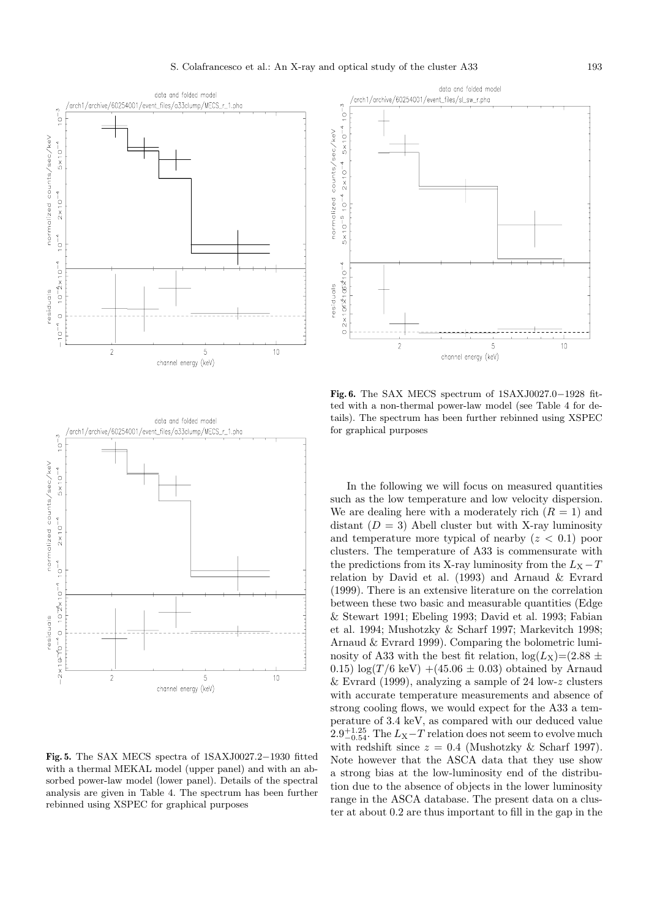

**Fig. 5.** The SAX MECS spectra of 1SAXJ0027.2−1930 fitted with a thermal MEKAL model (upper panel) and with an absorbed power-law model (lower panel). Details of the spectral analysis are given in Table 4. The spectrum has been further rebinned using XSPEC for graphical purposes



**Fig. 6.** The SAX MECS spectrum of 1SAXJ0027.0−1928 fitted with a non-thermal power-law model (see Table 4 for details). The spectrum has been further rebinned using XSPEC for graphical purposes

In the following we will focus on measured quantities such as the low temperature and low velocity dispersion. We are dealing here with a moderately rich  $(R = 1)$  and distant  $(D = 3)$  Abell cluster but with X-ray luminosity and temperature more typical of nearby  $(z < 0.1)$  poor clusters. The temperature of A33 is commensurate with the predictions from its X-ray luminosity from the  $L_X - T$ relation by David et al. (1993) and Arnaud & Evrard (1999). There is an extensive literature on the correlation between these two basic and measurable quantities (Edge & Stewart 1991; Ebeling 1993; David et al. 1993; Fabian et al. 1994; Mushotzky & Scharf 1997; Markevitch 1998; Arnaud & Evrard 1999). Comparing the bolometric luminosity of A33 with the best fit relation,  $log(L_X)=(2.88 \pm 1)$ 0.15)  $\log(T/6 \text{ keV}) + (45.06 \pm 0.03)$  obtained by Arnaud & Evrard (1999), analyzing a sample of 24 low-z clusters with accurate temperature measurements and absence of strong cooling flows, we would expect for the A33 a temperature of 3.4 keV, as compared with our deduced value  $2.9_{-0.54}^{+1.25}$ . The  $L_X-T$  relation does not seem to evolve much with redshift since  $z = 0.4$  (Mushotzky & Scharf 1997). Note however that the ASCA data that they use show a strong bias at the low-luminosity end of the distribution due to the absence of objects in the lower luminosity range in the ASCA database. The present data on a cluster at about 0.2 are thus important to fill in the gap in the